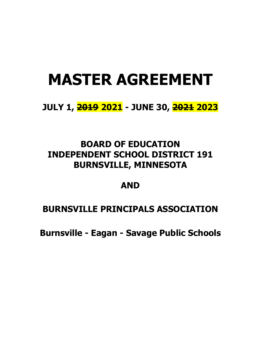# **MASTER AGREEMENT**

# **JULY 1, 2019 2021 - JUNE 30, 2021 2023**

# **BOARD OF EDUCATION INDEPENDENT SCHOOL DISTRICT 191 BURNSVILLE, MINNESOTA**

# **AND**

# **BURNSVILLE PRINCIPALS ASSOCIATION**

**Burnsville - Eagan - Savage Public Schools**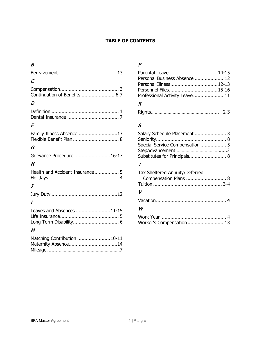### **TABLE OF CONTENTS**

### $\overline{B}$

| $\mathcal C$                    |
|---------------------------------|
|                                 |
| D                               |
|                                 |
| $\mathcal F$                    |
| Family Illness Absence13        |
| G                               |
| Grievance Procedure  16-17      |
| H                               |
| Health and Accident Insurance 5 |
| $\boldsymbol{J}$                |
|                                 |
| L                               |
| Leaves and Absences 11-15       |
| $\boldsymbol{M}$                |
| Matching Contribution  10-11    |

Mileage .......... ………………………………………7

## P

| Personal Business Absence 12  |  |
|-------------------------------|--|
|                               |  |
|                               |  |
| Professional Activity Leave11 |  |

# R

|--|--|

# S

| Salary Schedule Placement  3 |  |
|------------------------------|--|
|                              |  |
|                              |  |
|                              |  |
| Substitutes for Principals 8 |  |

### $\tau$

| Tax Sheltered Annuity/Deferred<br>Compensation Plans  8 |  |
|---------------------------------------------------------|--|
|                                                         |  |
| $\boldsymbol{V}$                                        |  |
|                                                         |  |
| W                                                       |  |

| Worker's Compensation13 |  |
|-------------------------|--|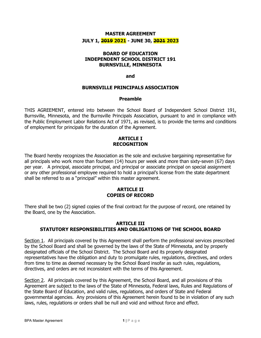### **MASTER AGREEMENT JULY 1, 2019 2021 - JUNE 30, 2021 2023**

#### **BOARD OF EDUCATION INDEPENDENT SCHOOL DISTRICT 191 BURNSVILLE, MINNESOTA**

#### **and**

#### **BURNSVILLE PRINCIPALS ASSOCIATION**

#### **Preamble**

THIS AGREEMENT, entered into between the School Board of Independent School District 191, Burnsville, Minnesota, and the Burnsville Principals Association, pursuant to and in compliance with the Public Employment Labor Relations Act of 1971, as revised, is to provide the terms and conditions of employment for principals for the duration of the Agreement.

#### **ARTICLE I RECOGNITION**

The Board hereby recognizes the Association as the sole and exclusive bargaining representative for all principals who work more than fourteen (14) hours per week and more than sixty-seven (67) days per year. A principal, associate principal, and principal or associate principal on special assignment or any other professional employee required to hold a principal's license from the state department shall be referred to as a "principal" within this master agreement.

#### **ARTICLE II COPIES OF RECORD**

There shall be two (2) signed copies of the final contract for the purpose of record, one retained by the Board, one by the Association.

#### **ARTICLE III STATUTORY RESPONSIBILITIES AND OBLIGATIONS OF THE SCHOOL BOARD**

Section 1. All principals covered by this Agreement shall perform the professional services prescribed by the School Board and shall be governed by the laws of the State of Minnesota, and by properly designated officials of the School District. The School Board and its properly designated representatives have the obligation and duty to promulgate rules, regulations, directives, and orders from time to time as deemed necessary by the School Board insofar as such rules, regulations, directives, and orders are not inconsistent with the terms of this Agreement.

Section 2. All principals covered by this Agreement, the School Board, and all provisions of this Agreement are subject to the laws of the State of Minnesota, Federal laws, Rules and Regulations of the State Board of Education, and valid rules, regulations, and orders of State and Federal governmental agencies. Any provisions of this Agreement herein found to be in violation of any such laws, rules, regulations or orders shall be null and void and without force and effect.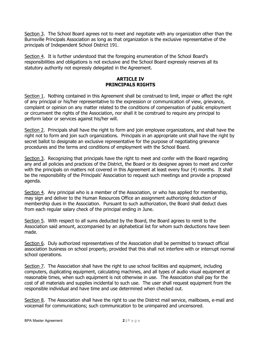Section 3. The School Board agrees not to meet and negotiate with any organization other than the Burnsville Principals Association as long as that organization is the exclusive representative of the principals of Independent School District 191.

Section 4. It is further understood that the foregoing enumeration of the School Board's responsibilities and obligations is not exclusive and the School Board expressly reserves all its statutory authority not expressly delegated in the Agreement.

#### **ARTICLE IV PRINCIPALS RIGHTS**

Section 1. Nothing contained in this Agreement shall be construed to limit, impair or affect the right of any principal or his/her representative to the expression or communication of view, grievance, complaint or opinion on any matter related to the conditions of compensation of public employment or circumvent the rights of the Association, nor shall it be construed to require any principal to perform labor or services against his/her will.

Section 2. Principals shall have the right to form and join employee organizations, and shall have the right not to form and join such organizations. Principals in an appropriate unit shall have the right by secret ballot to designate an exclusive representative for the purpose of negotiating grievance procedures and the terms and conditions of employment with the School Board.

Section 3. Recognizing that principals have the right to meet and confer with the Board regarding any and all policies and practices of the District, the Board or its designee agrees to meet and confer with the principals on matters not covered in this Agreement at least every four (4) months. It shall be the responsibility of the Principals' Association to request such meetings and provide a proposed agenda.

Section 4. Any principal who is a member of the Association, or who has applied for membership, may sign and deliver to the Human Resources Office an assignment authorizing deduction of membership dues in the Association. Pursuant to such authorization, the Board shall deduct dues from each regular salary check of the principal ending in June.

Section 5. With respect to all sums deducted by the Board, the Board agrees to remit to the Association said amount, accompanied by an alphabetical list for whom such deductions have been made.

Section 6. Duly authorized representatives of the Association shall be permitted to transact official association business on school property, provided that this shall not interfere with or interrupt normal school operations.

Section 7. The Association shall have the right to use school facilities and equipment, including computers, duplicating equipment, calculating machines, and all types of audio visual equipment at reasonable times, when such equipment is not otherwise in use. The Association shall pay for the cost of all materials and supplies incidental to such use. The user shall request equipment from the responsible individual and have time and use determined when checked out.

Section 8. The Association shall have the right to use the District mail service, mailboxes, e-mail and voicemail for communications; such communication to be unimpaired and uncensored.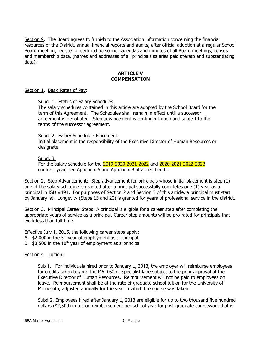Section 9. The Board agrees to furnish to the Association information concerning the financial resources of the District, annual financial reports and audits, after official adoption at a regular School Board meeting, register of certified personnel, agendas and minutes of all Board meetings, census and membership data, (names and addresses of all principals salaries paid thereto and substantiating data).

#### **ARTICLE V COMPENSATION**

#### Section 1. Basic Rates of Pay:

#### Subd. 1. Status of Salary Schedules:

The salary schedules contained in this article are adopted by the School Board for the term of this Agreement. The Schedules shall remain in effect until a successor agreement is negotiated. Step advancement is contingent upon and subject to the terms of the successor agreement.

#### Subd. 2. Salary Schedule - Placement

Initial placement is the responsibility of the Executive Director of Human Resources or designate.

#### Subd. 3.

For the salary schedule for the 2019-2020 2021-2022 and 2020-2021 2022-2023 contract year, see Appendix A and Appendix B attached hereto.

Section 2. Step Advancement: Step advancement for principals whose initial placement is step (1) one of the salary schedule is granted after a principal successfully completes one (1) year as a principal in ISD #191. For purposes of Section 2 and Section 3 of this article, a principal must start by January lst. Longevity (Steps 15 and 20) is granted for years of professional service in the district.

Section 3. Principal Career Steps: A principal is eligible for a career step after completing the appropriate years of service as a principal. Career step amounts will be pro-rated for principals that work less than full-time.

Effective July 1, 2015, the following career steps apply:

- A.  $$2,000$  in the 5<sup>th</sup> year of employment as a principal
- B.  $$3,500$  in the  $10<sup>th</sup>$  year of employment as a principal

#### Section 4. Tuition:

Sub 1. For individuals hired prior to January 1, 2013, the employer will reimburse employees for credits taken beyond the MA +60 or Specialist lane subject to the prior approval of the Executive Director of Human Resources. Reimbursement will not be paid to employees on leave. Reimbursement shall be at the rate of graduate school tuition for the University of Minnesota, adjusted annually for the year in which the course was taken.

Subd 2. Employees hired after January 1, 2013 are eligible for up to two thousand five hundred dollars (\$2,500) in tuition reimbursement per school year for post-graduate coursework that is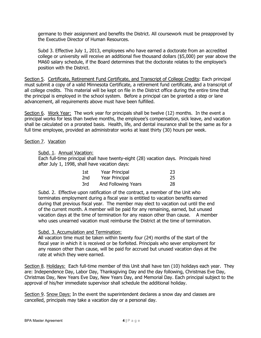germane to their assignment and benefits the District. All coursework must be preapproved by the Executive Director of Human Resources.

Subd 3. Effective July 1, 2013, employees who have earned a doctorate from an accredited college or university will receive an additional five thousand dollars (\$5,000) per year above the MA60 salary schedule, if the Board determines that the doctorate relates to the employee's position with the District.

Section 5. Certificate, Retirement Fund Certificate, and Transcript of College Credits: Each principal must submit a copy of a valid Minnesota Certificate, a retirement fund certificate, and a transcript of all college credits. This material will be kept on file in the District office during the entire time that the principal is employed in the school system. Before a principal can be granted a step or lane advancement, all requirements above must have been fulfilled.

Section 6. Work Year: The work year for principals shall be twelve (12) months. In the event a principal works for less than twelve months, the employee's compensation, sick leave, and vacation shall be calculated on a prorated basis. Health, life, and dental insurance shall be the same as for a full time employee, provided an administrator works at least thirty (30) hours per week.

#### Section 7. Vacation

Subd. 1. Annual Vacation:

Each full-time principal shall have twenty-eight (28) vacation days. Principals hired after July 1, 1998, shall have vacation days:

| 1st             | Year Principal      | 23 |
|-----------------|---------------------|----|
| 2 <sub>nd</sub> | Year Principal      | 25 |
| 3rd             | And Following Years | 28 |

Subd. 2. Effective upon ratification of the contract, a member of the Unit who terminates employment during a fiscal year is entitled to vacation benefits earned during that previous fiscal year. The member may elect to vacation out until the end of the current month. A member will be paid for any remaining, earned, but unused vacation days at the time of termination for any reason other than cause. A member who uses unearned vacation must reimburse the District at the time of termination.

#### Subd. 3. Accumulation and Termination:

All vacation time must be taken within twenty four (24) months of the start of the fiscal year in which it is received or be forfeited. Principals who sever employment for any reason other than cause, will be paid for accrued but unused vacation days at the rate at which they were earned.

Section 8. Holidays: Each full-time member of this Unit shall have ten (10) holidays each year. They are: Independence Day, Labor Day, Thanksgiving Day and the day following, Christmas Eve Day, Christmas Day, New Years Eve Day, New Years Day, and Memorial Day. Each principal subject to the approval of his/her immediate supervisor shall schedule the additional holiday.

Section 9. Snow Days: In the event the superintendent declares a snow day and classes are cancelled, principals may take a vacation day or a personal day.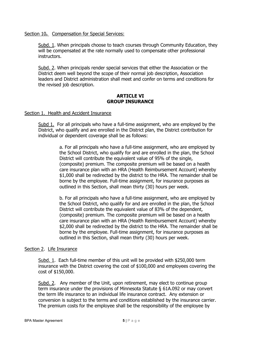#### Section 10**.** Compensation for Special Services:

Subd. 1. When principals choose to teach courses through Community Education, they will be compensated at the rate normally used to compensate other professional instructors.

Subd. 2. When principals render special services that either the Association or the District deem well beyond the scope of their normal job description, Association leaders and District administration shall meet and confer on terms and conditions for the revised job description.

#### **ARTICLE VI GROUP INSURANCE**

#### Section 1. Health and Accident Insurance

Subd 1. For all principals who have a full-time assignment, who are employed by the District, who qualify and are enrolled in the District plan, the District contribution for individual or dependent coverage shall be as follows:

> a. For all principals who have a full-time assignment, who are employed by the School District, who qualify for and are enrolled in the plan, the School District will contribute the equivalent value of 95% of the single, (composite) premium. The composite premium will be based on a health care insurance plan with an HRA (Health Reimbursement Account) whereby \$1,000 shall be redirected by the district to the HRA. The remainder shall be borne by the employee. Full-time assignment, for insurance purposes as outlined in this Section, shall mean thirty (30) hours per week.

> b. For all principals who have a full-time assignment, who are employed by the School District, who qualify for and are enrolled in the plan, the School District will contribute the equivalent value of 83% of the dependent, (composite) premium. The composite premium will be based on a health care insurance plan with an HRA (Health Reimbursement Account) whereby \$2,000 shall be redirected by the district to the HRA. The remainder shall be borne by the employee. Full-time assignment, for insurance purposes as outlined in this Section, shall mean thirty (30) hours per week.

#### Section 2. Life Insurance

Subd. 1. Each full-time member of this unit will be provided with \$250,000 term insurance with the District covering the cost of \$100,000 and employees covering the cost of \$150,000.

Subd. 2. Any member of the Unit, upon retirement, may elect to continue group term insurance under the provisions of Minnesota Statute § 61A.092 or may convert the term life insurance to an individual life insurance contract. Any extension or conversion is subject to the terms and conditions established by the insurance carrier. The premium costs for the employee shall be the responsibility of the employee by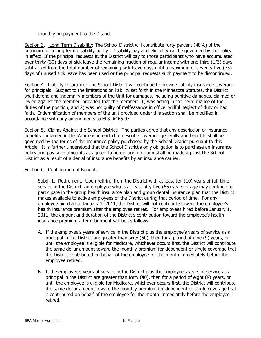monthly prepayment to the District.

Section 3. Long Term Disability: The School District will contribute forty percent (40%) of the premium for a long term disability policy. Disability pay and eligibility will be governed by the policy in effect. If the principal requests it, the District will pay to those participants who have accumulated over thirty (30) days of sick leave the remaining fraction of regular income with one-third (1/3) days subtracted from the total number of remaining sick leave days until a maximum of seventy-five (75) days of unused sick leave has been used or the principal requests such payment to be discontinued.

Section 4. Liability Insurance: The School District will continue to provide liability insurance coverage for principals. Subject to the limitations on liability set forth in the Minnesota Statutes, the District shall defend and indemnify members of the Unit for damages, including punitive damages, claimed or levied against the member, provided that the member: 1) was acting in the performance of the duties of the position, and 2) was not guilty of malfeasance in office, willful neglect of duty or bad faith. Indemnification of members of the unit provided under this section shall be modified in accordance with any amendments to M.S. §466.07.

Section 5. Claims Against the School District: The parties agree that any description of insurance benefits contained in this Article is intended to describe coverage generally and benefits shall be governed by the terms of the insurance policy purchased by the School District pursuant to this Article. It is further understood that the School District's only obligation is to purchase an insurance policy and pay such amounts as agreed to herein and no claim shall be made against the School District as a result of a denial of insurance benefits by an insurance carrier.

#### Section 6. Continuation of Benefits

Subd. 1. Retirement. Upon retiring from the District with at least ten (10) years of full-time service in the District, an employee who is at least fifty-five (55) years of age may continue to participate in the group health insurance plan and group dental insurance plan that the District makes available to active employees of the District during that period of time. For any employee hired after January 1, 2011, the District will not contribute toward the employee's health insurance premium after the employee retires. For employees hired before January 1, 2011, the amount and duration of the District's contribution toward the employee's health insurance premium after retirement will be as follows:

- A. If the employee's years of service in the District plus the employee's years of service as a principal in the District are greater than sixty (60), then for a period of nine (9) years, or until the employee is eligible for Medicare, whichever occurs first, the District will contribute the same dollar amount toward the monthly premium for dependent or single coverage that the District contributed on behalf of the employee for the month immediately before the employee retired.
- B. If the employee's years of service in the District plus the employee's years of service as a principal in the District are greater than forty (40), then for a period of eight (8) years, or until the employee is eligible for Medicare, whichever occurs first, the District will contribute the same dollar amount toward the monthly premium for dependent or single coverage that it contributed on behalf of the employee for the month immediately before the employee retired.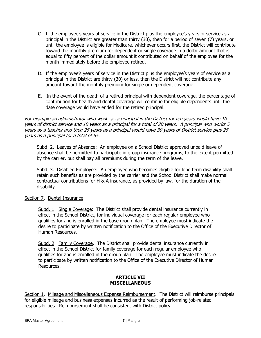- C. If the employee's years of service in the District plus the employee's years of service as a principal in the District are greater than thirty (30), then for a period of seven (7) years, or until the employee is eligible for Medicare, whichever occurs first, the District will contribute toward the monthly premium for dependent or single coverage in a dollar amount that is equal to fifty percent of the dollar amount it contributed on behalf of the employee for the month immediately before the employee retired.
- D. If the employee's years of service in the District plus the employee's years of service as a principal in the District are thirty (30) or less, then the District will not contribute any amount toward the monthly premium for single or dependent coverage.
- E. In the event of the death of a retired principal with dependent coverage, the percentage of contribution for health and dental coverage will continue for eligible dependents until the date coverage would have ended for the retired principal.

For example an administrator who works as a principal in the District for ten years would have 10 years of district service and 10 years as a principal for a total of 20 years. A principal who works 5 years as a teacher and then 25 years as a principal would have 30 years of District service plus 25 years as a principal for a total of 55.

Subd. 2. Leaves of Absence: An employee on a School District approved unpaid leave of absence shall be permitted to participate in group insurance programs, to the extent permitted by the carrier, but shall pay all premiums during the term of the leave.

Subd. 3. Disabled Employee: An employee who becomes eligible for long term disability shall retain such benefits as are provided by the carrier and the School District shall make normal contractual contributions for H & A insurance, as provided by law, for the duration of the disability.

#### Section 7. Dental Insurance

Subd. 1. Single Coverage: The District shall provide dental insurance currently in effect in the School District, for individual coverage for each regular employee who qualifies for and is enrolled in the base group plan. The employee must indicate the desire to participate by written notification to the Office of the Executive Director of Human Resources.

Subd. 2. Family Coverage. The District shall provide dental insurance currently in effect in the School District for family coverage for each regular employee who qualifies for and is enrolled in the group plan. The employee must indicate the desire to participate by written notification to the Office of the Executive Director of Human Resources.

#### **ARTICLE VII MISCELLANEOUS**

Section 1. Mileage and Miscellaneous Expense Reimbursement. The District will reimburse principals for eligible mileage and business expenses incurred as the result of performing job-related responsibilities. Reimbursement shall be consistent with District policy.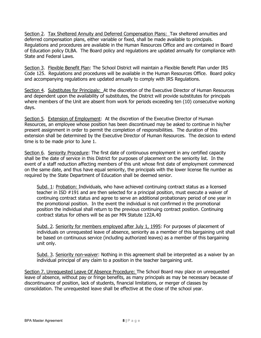Section 2. Tax Sheltered Annuity and Deferred Compensation Plans: Tax sheltered annuities and deferred compensation plans, either variable or fixed, shall be made available to principals. Regulations and procedures are available in the Human Resources Office and are contained in Board of Education policy DLBA. The Board policy and regulations are updated annually for compliance with State and Federal Laws.

Section 3. Flexible Benefit Plan: The School District will maintain a Flexible Benefit Plan under IRS Code 125. Regulations and procedures will be available in the Human Resources Office. Board policy and accompanying regulations are updated annually to comply with IRS Regulations.

Section 4. Substitutes for Principals: At the discretion of the Executive Director of Human Resources and dependent upon the availability of substitutes, the District will provide substitutes for principals where members of the Unit are absent from work for periods exceeding ten (10) consecutive working days.

Section 5. Extension of Employment: At the discretion of the Executive Director of Human Resources, an employee whose position has been discontinued may be asked to continue in his/her present assignment in order to permit the completion of responsibilities. The duration of this extension shall be determined by the Executive Director of Human Resources. The decision to extend time is to be made prior to June 1.

Section 6. Seniority Procedure: The first date of continuous employment in any certified capacity shall be the date of service in this District for purposes of placement on the seniority list. In the event of a staff reduction affecting members of this unit whose first date of employment commenced on the same date, and thus have equal seniority, the principals with the lower license file number as required by the State Department of Education shall be deemed senior.

Subd. 1: Probation: Individuals, who have achieved continuing contract status as a licensed teacher in ISD #191 and are then selected for a principal position, must execute a waiver of continuing contract status and agree to serve an additional probationary period of one year in the promotional position. In the event the individual is not confirmed in the promotional position the individual shall return to the previous continuing contract position. Continuing contract status for others will be as per MN Statute 122A.40

Subd. 2. Seniority for members employed after July 1, 1995: For purposes of placement of individuals on unrequested leave of absence, seniority as a member of this bargaining unit shall be based on continuous service (including authorized leaves) as a member of this bargaining unit only.

Subd. 3. Seniority non-waiver: Nothing in this agreement shall be interpreted as a waiver by an individual principal of any claim to a position in the teacher bargaining unit.

Section 7. Unrequested Leave Of Absence Procedure: The School Board may place on unrequested leave of absence, without pay or fringe benefits, as many principals as may be necessary because of discontinuance of position, lack of students, financial limitations, or merger of classes by consolidation. The unrequested leave shall be effective at the close of the school year.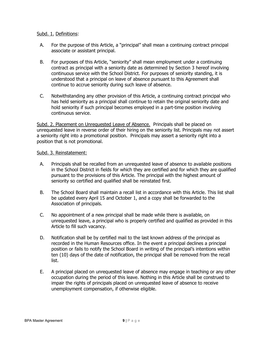#### Subd. 1. Definitions:

- A. For the purpose of this Article, a "principal" shall mean a continuing contract principal associate or assistant principal.
- B. For purposes of this Article, "seniority" shall mean employment under a continuing contract as principal with a seniority date as determined by Section 3 hereof involving continuous service with the School District. For purposes of seniority standing, it is understood that a principal on leave of absence pursuant to this Agreement shall continue to accrue seniority during such leave of absence.
- C. Notwithstanding any other provision of this Article, a continuing contract principal who has held seniority as a principal shall continue to retain the original seniority date and hold seniority if such principal becomes employed in a part-time position involving continuous service.

Subd. 2. Placement on Unrequested Leave of Absence. Principals shall be placed on unrequested leave in reverse order of their hiring on the seniority list. Principals may not assert a seniority right into a promotional position. Principals may assert a seniority right into a position that is not promotional.

#### Subd. 3. Reinstatement:

- A. Principals shall be recalled from an unrequested leave of absence to available positions in the School District in fields for which they are certified and for which they are qualified pursuant to the provisions of this Article. The principal with the highest amount of seniority so certified and qualified shall be reinstated first.
- B. The School Board shall maintain a recall list in accordance with this Article. This list shall be updated every April 15 and October 1, and a copy shall be forwarded to the Association of principals.
- C. No appointment of a new principal shall be made while there is available, on unrequested leave, a principal who is properly certified and qualified as provided in this Article to fill such vacancy.
- D. Notification shall be by certified mail to the last known address of the principal as recorded in the Human Resources office. In the event a principal declines a principal position or fails to notify the School Board in writing of the principal's intentions within ten (10) days of the date of notification, the principal shall be removed from the recall list.
- E. A principal placed on unrequested leave of absence may engage in teaching or any other occupation during the period of this leave. Nothing in this Article shall be construed to impair the rights of principals placed on unrequested leave of absence to receive unemployment compensation, if otherwise eligible.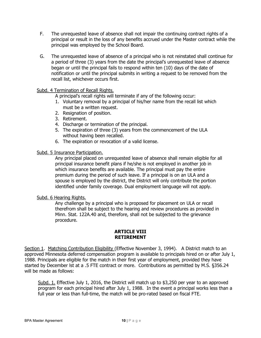- F. The unrequested leave of absence shall not impair the continuing contract rights of a principal or result in the loss of any benefits accrued under the Master contract while the principal was employed by the School Board.
- G. The unrequested leave of absence of a principal who is not reinstated shall continue for a period of three (3) years from the date the principal's unrequested leave of absence began or until the principal fails to respond within ten (10) days of the date of notification or until the principal submits in writing a request to be removed from the recall list, whichever occurs first.

#### Subd. 4 Termination of Recall Rights.

- A principal's recall rights will terminate if any of the following occur:
- 1. Voluntary removal by a principal of his/her name from the recall list which must be a written request.
- 2. Resignation of position.
- 3. Retirement.
- 4. Discharge or termination of the principal.
- 5. The expiration of three (3) years from the commencement of the ULA without having been recalled.
- 6. The expiration or revocation of a valid license.

#### Subd. 5 Insurance Participation.

Any principal placed on unrequested leave of absence shall remain eligible for all principal insurance benefit plans if he/she is not employed in another job in which insurance benefits are available. The principal must pay the entire premium during the period of such leave. If a principal is on an ULA and a spouse is employed by the district, the District will only contribute the portion identified under family coverage. Dual employment language will not apply.

#### Subd. 6 Hearing Rights.

Any challenge by a principal who is proposed for placement on ULA or recall therefrom shall be subject to the hearing and review procedures as provided in Minn. Stat. 122A.40 and, therefore, shall not be subjected to the grievance procedure.

#### **ARTICLE VIII RETIREMENT**

Section 1. Matching Contribution Eligibility (Effective November 3, 1994). A District match to an approved Minnesota deferred compensation program is available to principals hired on or after July 1, 1988. Principals are eligible for the match in their first year of employment, provided they have started by December lst at a .5 FTE contract or more. Contributions as permitted by M.S. §356.24 will be made as follows:

Subd. 1. Effective July 1, 2016, the District will match up to \$3,250 per year to an approved program for each principal hired after July 1, 1988. In the event a principal works less than a full year or less than full-time, the match will be pro-rated based on fiscal FTE.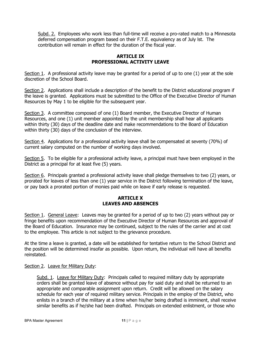Subd. 2. Employees who work less than full-time will receive a pro-rated match to a Minnesota deferred compensation program based on their F.T.E. equivalency as of July lst. The contribution will remain in effect for the duration of the fiscal year.

#### **ARTICLE IX PROFESSIONAL ACTIVITY LEAVE**

Section 1. A professional activity leave may be granted for a period of up to one (1) year at the sole discretion of the School Board.

Section 2. Applications shall include a description of the benefit to the District educational program if the leave is granted. Applications must be submitted to the Office of the Executive Director of Human Resources by May 1 to be eligible for the subsequent year.

Section 3. A committee composed of one (1) Board member, the Executive Director of Human Resources, and one (1) unit member appointed by the unit membership shall hear all applicants within thirty (30) days of the deadline date and make recommendations to the Board of Education within thirty (30) days of the conclusion of the interview.

Section 4. Applications for a professional activity leave shall be compensated at seventy (70%) of current salary computed on the number of working days involved.

Section 5. To be eligible for a professional activity leave, a principal must have been employed in the District as a principal for at least five (5) years.

Section 6. Principals granted a professional activity leave shall pledge themselves to two (2) years, or prorated for leaves of less than one (1) year service in the District following termination of the leave, or pay back a prorated portion of monies paid while on leave if early release is requested.

#### **ARTICLE X LEAVES AND ABSENCES**

Section 1. General Leave: Leaves may be granted for a period of up to two (2) years without pay or fringe benefits upon recommendation of the Executive Director of Human Resources and approval of the Board of Education. Insurance may be continued, subject to the rules of the carrier and at cost to the employee. This article is not subject to the grievance procedure.

At the time a leave is granted, a date will be established for tentative return to the School District and the position will be determined insofar as possible. Upon return, the individual will have all benefits reinstated.

#### Section 2. Leave for Military Duty:

Subd. 1. Leave for Military Duty: Principals called to required military duty by appropriate orders shall be granted leave of absence without pay for said duty and shall be returned to an appropriate and comparable assignment upon return. Credit will be allowed on the salary schedule for each year of required military service. Principals in the employ of the District, who enlists in a branch of the military at a time when his/her being drafted is imminent, shall receive similar benefits as if he/she had been drafted. Principals on extended enlistment, or those who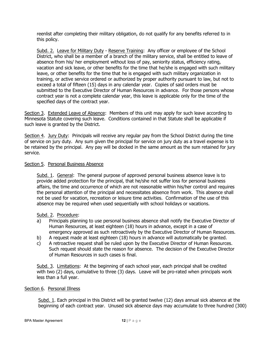reenlist after completing their military obligation, do not qualify for any benefits referred to in this policy.

Subd. 2. Leave for Military Duty - Reserve Training: Any officer or employee of the School District, who shall be a member of a branch of the military service, shall be entitled to leave of absence from his/ her employment without loss of pay, seniority status, efficiency rating, vacation and sick leave, or other benefits for the time that he/she is engaged with such military leave, or other benefits for the time that he is engaged with such military organization in training, or active service ordered or authorized by proper authority pursuant to law, but not to exceed a total of fifteen (15) days in any calendar year. Copies of said orders must be submitted to the Executive Director of Human Resources in advance. For those persons whose contract year is not a complete calendar year, this leave is applicable only for the time of the specified days of the contract year.

Section 3. Extended Leave of Absence: Members of this unit may apply for such leave according to Minnesota Statute covering such leave. Conditions contained in that Statute shall be applicable if such leave is granted by the District.

Section 4. Jury Duty: Principals will receive any regular pay from the School District during the time of service on jury duty. Any sum given the principal for service on jury duty as a travel expense is to be retained by the principal. Any pay will be docked in the same amount as the sum retained for jury service.

#### Section 5. Personal Business Absence

Subd. 1. General: The general purpose of approved personal business absence leave is to provide added protection for the principal, that he/she not suffer loss for personal business affairs, the time and occurrence of which are not reasonable within his/her control and requires the personal attention of the principal and necessitates absence from work. This absence shall not be used for vacation, recreation or leisure time activities. Confirmation of the use of this absence may be required when used sequentially with school holidays or vacations.

#### Subd. 2. Procedure:

- a) Principals planning to use personal business absence shall notify the Executive Director of Human Resources, at least eighteen (18) hours in advance, except in a case of emergency approved as such retroactively by the Executive Director of Human Resources.
- b) A request made at least eighteen (18) hours in advance will automatically be granted.
- c) A retroactive request shall be ruled upon by the Executive Director of Human Resources. Such request should state the reason for absence. The decision of the Executive Director of Human Resources in such cases is final.

 Subd. 3. Limitations: At the beginning of each school year, each principal shall be credited with two (2) days, cumulative to three (3) days. Leave will be pro-rated when principals work less than a full year.

#### Section 6. Personal Illness

Subd. 1. Each principal in this District will be granted twelve (12) days annual sick absence at the beginning of each contract year. Unused sick absence days may accumulate to three hundred (300)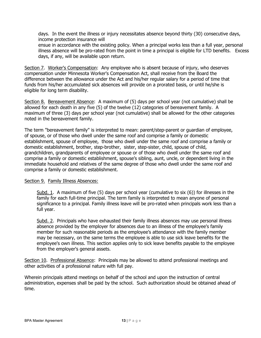days. In the event the illness or injury necessitates absence beyond thirty (30) consecutive days, income protection insurance will

ensue in accordance with the existing policy. When a principal works less than a full year, personal illness absence will be pro-rated from the point in time a principal is eligible for LTD benefits. Excess days, if any, will be available upon return.

Section 7. Worker's Compensation: Any employee who is absent because of injury, who deserves compensation under Minnesota Worker's Compensation Act, shall receive from the Board the difference between the allowance under the Act and his/her regular salary for a period of time that funds from his/her accumulated sick absences will provide on a prorated basis, or until he/she is eligible for long term disability.

Section 8. Bereavement Absence: A maximum of (5) days per school year (not cumulative) shall be allowed for each death in any five (5) of the twelve (12) categories of bereavement family. A maximum of three (3) days per school year (not cumulative) shall be allowed for the other categories noted in the bereavement family.

The term "bereavement family" is interpreted to mean: parent/step-parent or guardian of employee, of spouse, or of those who dwell under the same roof and comprise a family or domestic establishment, spouse of employee, those who dwell under the same roof and comprise a family or domestic establishment, brother, step-brother, sister, step-sister, child, spouse of child, grandchildren, grandparents of employee or spouse or of those who dwell under the same roof and comprise a family or domestic establishment, spouse's sibling, aunt, uncle, or dependent living in the immediate household and relatives of the same degree of those who dwell under the same roof and comprise a family or domestic establishment.

#### Section 9. Family Illness Absences:

Subd. 1. A maximum of five (5) days per school year (cumulative to six (6)) for illnesses in the family for each full-time principal. The term family is interpreted to mean anyone of personal significance to a principal. Family illness leave will be pro-rated when principals work less than a full year.

Subd. 2. Principals who have exhausted their family illness absences may use personal illness absence provided by the employer for absences due to an illness of the employee's family member for such reasonable periods as the employee's attendance with the family member may be necessary, on the same terms the employee is able to use sick leave benefits for the employee's own illness. This section applies only to sick leave benefits payable to the employee from the employer's general assets.

Section 10. Professional Absence: Principals may be allowed to attend professional meetings and other activities of a professional nature with full pay.

Wherein principals attend meetings on behalf of the school and upon the instruction of central administration, expenses shall be paid by the school. Such authorization should be obtained ahead of time.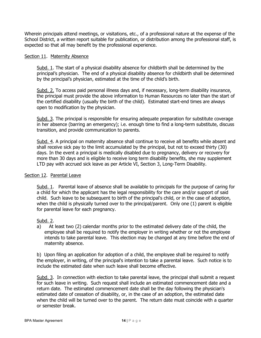Wherein principals attend meetings, or visitations, etc., of a professional nature at the expense of the School District, a written report suitable for publication, or distribution among the professional staff, is expected so that all may benefit by the professional experience.

#### Section 11. Maternity Absence

Subd. 1. The start of a physical disability absence for childbirth shall be determined by the principal's physician. The end of a physical disability absence for childbirth shall be determined by the principal's physician, estimated at the time of the child's birth.

Subd. 2. To access paid personal illness days and, if necessary, long-term disability insurance, the principal must provide the above information to Human Resources no later than the start of the certified disability (usually the birth of the child). Estimated start-end times are always open to modification by the physician.

Subd. 3. The principal is responsible for ensuring adequate preparation for substitute coverage in her absence (barring an emergency); i.e. enough time to find a long-term substitute, discuss transition, and provide communication to parents.

Subd. 4. A principal on maternity absence shall continue to receive all benefits while absent and shall receive sick pay to the limit accumulated by the principal, but not to exceed thirty (30) days. In the event a principal is medically disabled due to pregnancy, delivery or recovery for more than 30 days and is eligible to receive long term disability benefits, she may supplement LTD pay with accrued sick leave as per Article VI, Section 3, Long-Term Disability.

#### Section 12. Parental Leave

Subd. 1. Parental leave of absence shall be available to principals for the purpose of caring for a child for which the applicant has the legal responsibility for the care and/or support of said child. Such leave to be subsequent to birth of the principal's child, or in the case of adoption, when the child is physically turned over to the principal/parent. Only one (1) parent is eligible for parental leave for each pregnancy.

#### Subd. 2.

a) At least two (2) calendar months prior to the estimated delivery date of the child, the employee shall be required to notify the employer in writing whether or not the employee intends to take parental leave. This election may be changed at any time before the end of maternity absence.

b) Upon filing an application for adoption of a child, the employee shall be required to notify the employer, in writing, of the principal's intention to take a parental leave. Such notice is to include the estimated date when such leave shall become effective.

Subd. 3. In connection with election to take parental leave, the principal shall submit a request for such leave in writing. Such request shall include an estimated commencement date and a return date. The estimated commencement date shall be the day following the physician's estimated date of cessation of disability, or, in the case of an adoption, the estimated date when the child will be turned over to the parent. The return date must coincide with a quarter or semester break.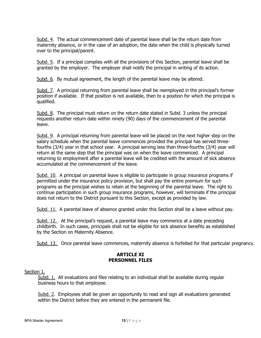Subd. 4. The actual commencement date of parental leave shall be the return date from maternity absence, or in the case of an adoption, the date when the child is physically turned over to the principal/parent.

Subd. 5. If a principal complies with all the provisions of this Section, parental leave shall be granted by the employer. The employer shall notify the principal in writing of its action.

Subd. 6. By mutual agreement, the length of the parental leave may be altered.

Subd. 7. A principal returning from parental leave shall be reemployed in the principal's former position if available. If that position is not available, then to a position for which the principal is qualified.

Subd. 8. The principal must return on the return date stated in Subd. 3 unless the principal requests another return date within ninety (90) days of the commencement of the parental leave.

Subd. 9. A principal returning from parental leave will be placed on the next higher step on the salary schedule when the parental leave commences provided the principal has served threefourths (3/4) year in that school year. A principal serving less than three-fourths (3/4) year will return at the same step that the principal was on when the leave commenced. A principal returning to employment after a parental leave will be credited with the amount of sick absence accumulated at the commencement of the leave.

Subd. 10. A principal on parental leave is eligible to participate in group insurance programs if permitted under the insurance policy provision, but shall pay the entire premium for such programs as the principal wishes to retain at the beginning of the parental leave. The right to continue participation in such group insurance programs, however, will terminate if the principal does not return to the District pursuant to this Section, except as provided by law.

Subd. 11. A parental leave of absence granted under this Section shall be a leave without pay.

Subd. 12. At the principal's request, a parental leave may commence at a date preceding childbirth. In such cases, principals shall not be eligible for sick absence benefits as established by the Section on Maternity Absence.

Subd. 13. Once parental leave commences, maternity absence is forfeited for that particular pregnancy.

#### **ARTICLE XI PERSONNEL FILES**

#### Section 1.

Subd. 1. All evaluations and files relating to an individual shall be available during regular business hours to that employee.

Subd. 2. Employees shall be given an opportunity to read and sign all evaluations generated within the District before they are entered in the permanent file.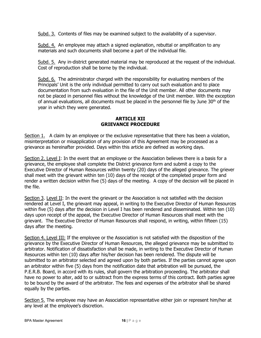Subd. 3. Contents of files may be examined subject to the availability of a supervisor.

Subd. 4. An employee may attach a signed explanation, rebuttal or amplification to any materials and such documents shall become a part of the individual file.

Subd. 5. Any in-district generated material may be reproduced at the request of the individual. Cost of reproduction shall be borne by the individual.

Subd. 6. The administrator charged with the responsibility for evaluating members of the Principals' Unit is the only individual permitted to carry out such evaluation and to place documentation from such evaluation in the file of the Unit member. All other documents may not be placed in personnel files without the knowledge of the Unit member. With the exception of annual evaluations, all documents must be placed in the personnel file by June  $30<sup>th</sup>$  of the year in which they were generated.

#### **ARTICLE XII GRIEVANCE PROCEDURE**

Section 1. A claim by an employee or the exclusive representative that there has been a violation, misinterpretation or misapplication of any provision of this Agreement may be processed as a grievance as hereinafter provided. Days within this article are defined as working days.

Section 2. Level I: In the event that an employee or the Association believes there is a basis for a grievance, the employee shall complete the District grievance form and submit a copy to the Executive Director of Human Resources within twenty (20) days of the alleged grievance. The griever shall meet with the grievant within ten (10) days of the receipt of the completed proper form and render a written decision within five (5) days of the meeting. A copy of the decision will be placed in the file.

Section 3. Level II: In the event the grievant or the Association is not satisfied with the decision rendered at Level I, the grievant may appeal, in writing to the Executive Director of Human Resources within five (5) days after the decision in Level I has been rendered and disseminated. Within ten (10) days upon receipt of the appeal, the Executive Director of Human Resources shall meet with the grievant. The Executive Director of Human Resources shall respond, in writing, within fifteen (15) days after the meeting.

Section 4. Level III: If the employee or the Association is not satisfied with the disposition of the grievance by the Executive Director of Human Resources, the alleged grievance may be submitted to arbitrator. Notification of dissatisfaction shall be made, in writing to the Executive Director of Human Resources within ten (10) days after his/her decision has been rendered. The dispute will be submitted to an arbitrator selected and agreed upon by both parties. If the parties cannot agree upon an arbitrator within five (5) days from the notification date that arbitration will be pursued, the P.E.R.B. Board, in accord with its rules, shall govern the arbitration proceeding. The arbitrator shall have no power to alter, add to or subtract from the express terms of this contract. Both parties agree to be bound by the award of the arbitrator. The fees and expenses of the arbitrator shall be shared equally by the parties.

Section 5. The employee may have an Association representative either join or represent him/her at any level at the employee's discretion.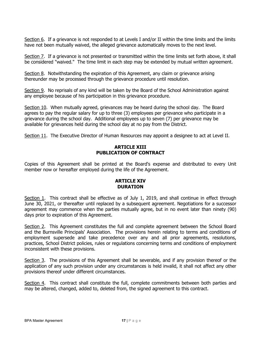Section 6. If a grievance is not responded to at Levels I and/or II within the time limits and the limits have not been mutually waived, the alleged grievance automatically moves to the next level.

Section 7. If a grievance is not presented or transmitted within the time limits set forth above, it shall be considered "waived." The time limit in each step may be extended by mutual written agreement.

Section 8. Notwithstanding the expiration of this Agreement, any claim or grievance arising thereunder may be processed through the grievance procedure until resolution.

Section 9. No reprisals of any kind will be taken by the Board of the School Administration against any employee because of his participation in this grievance procedure.

Section 10. When mutually agreed, grievances may be heard during the school day. The Board agrees to pay the regular salary for up to three (3) employees per grievance who participate in a grievance during the school day. Additional employees up to seven (7) per grievance may be available for grievances held during the school day at no pay from the District.

Section 11. The Executive Director of Human Resources may appoint a designee to act at Level II.

#### **ARTICLE XIII PUBLICATION OF CONTRACT**

Copies of this Agreement shall be printed at the Board's expense and distributed to every Unit member now or hereafter employed during the life of the Agreement.

#### **ARTICLE XIV DURATION**

Section 1. This contract shall be effective as of July 1, 2019, and shall continue in effect through June 30, 2021, or thereafter until replaced by a subsequent agreement. Negotiations for a successor agreement may commence when the parties mutually agree, but in no event later than ninety (90) days prior to expiration of this Agreement.

Section 2. This Agreement constitutes the full and complete agreement between the School Board and the Burnsville Principals' Association. The provisions herein relating to terms and conditions of employment supersede and take precedence over any and all prior agreements, resolutions, practices, School District policies, rules or regulations concerning terms and conditions of employment inconsistent with these provisions.

Section 3. The provisions of this Agreement shall be severable, and if any provision thereof or the application of any such provision under any circumstances is held invalid, it shall not affect any other provisions thereof under different circumstances.

Section 4. This contract shall constitute the full, complete commitments between both parties and may be altered, changed, added to, deleted from, the signed agreement to this contract.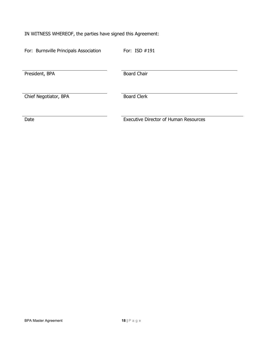IN WITNESS WHEREOF, the parties have signed this Agreement:

For: Burnsville Principals Association For: ISD #191

President, BPA Board Chair

Chief Negotiator, BPA Board Clerk

Date **Executive Director of Human Resources**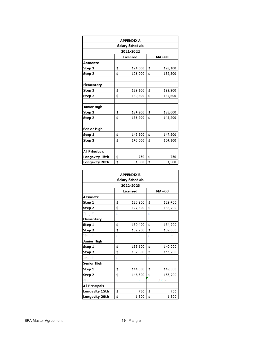| <b>APPENDIX A</b> |                            |           |    |         |  |
|-------------------|----------------------------|-----------|----|---------|--|
| Salary Schedule   |                            |           |    |         |  |
|                   |                            | 2021-2022 |    |         |  |
|                   | <b>Licensed</b><br>$MA+60$ |           |    |         |  |
| Associate         |                            |           |    |         |  |
| Step 1            | \$                         | 124,000   | \$ | 128,100 |  |
| Step 2            | \$                         | 126,000   | \$ | 132,300 |  |
|                   |                            |           |    |         |  |
| <b>Elementary</b> |                            |           |    |         |  |
| Step 1            | \$                         | 129,100   | \$ | 133,300 |  |
| Step 2            | \$                         | 130,800   | \$ | 137,600 |  |
|                   |                            |           |    |         |  |
| Junior High       |                            |           |    |         |  |
| Step 1            | \$                         | 134,200   | \$ | 138,600 |  |
| Step 2            | \$                         | 136,200   | \$ | 143,200 |  |
|                   |                            |           |    |         |  |
| Senior High       |                            |           |    |         |  |
| Step 1            | \$                         | 143,300   | \$ | 147,800 |  |
| Step 2            | \$                         | 145,000   | \$ | 154,100 |  |
|                   |                            |           |    |         |  |
| All Principals    |                            |           |    |         |  |
| Longevity 15th    | \$                         | 750       | \$ | 750     |  |
| Longevity 20th    | \$                         | 1,500     | \$ | 1,500   |  |

| <b>APPENDIX B</b>     |    |           |    |             |  |
|-----------------------|----|-----------|----|-------------|--|
| Salary Schedule       |    |           |    |             |  |
|                       |    | 2022-2023 |    |             |  |
| Licensed<br>$MA+60$   |    |           |    |             |  |
| Associate             |    |           |    |             |  |
| Step 1                | \$ | 125,300   | \$ | 129,400     |  |
| Step 2                | \$ | 127,300   | \$ | 133,700     |  |
| Step 3                | Ś  |           | ģ  |             |  |
| <b>Elementary</b>     |    |           |    |             |  |
| Step 1                | \$ | 130,400   | \$ | 134,700     |  |
| Step 2                | \$ | 132,200   | \$ | 139,000     |  |
| Step 3                | Ś  |           | ś  |             |  |
| Junior High           |    |           |    |             |  |
| Step 1                | \$ | 135,600   | \$ | 140,000     |  |
| Step 2                | \$ | 137,600   | \$ | 144,700     |  |
| Step 3                | \$ |           | Ġ  |             |  |
| Senior High           |    |           |    |             |  |
| Step 1                | \$ | 144,800   | \$ | 149,300     |  |
| Step 2                | \$ | 146,500   | \$ | 155,700     |  |
| Step 3                | Ś  | ۵         |    | <b>深风目目</b> |  |
| <b>All Principals</b> |    |           |    |             |  |
| Longevity 15th        | \$ | 750       | \$ | 750         |  |
| Longevity 20th        | \$ | 1,500     | \$ | 1,500       |  |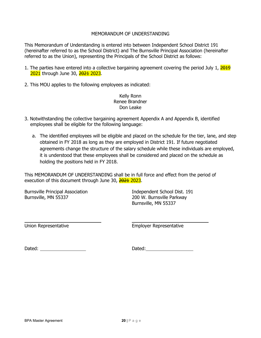#### MEMORANDUM OF UNDERSTANDING

This Memorandum of Understanding is entered into between Independent School District 191 (hereinafter referred to as the School District) and The Burnsville Principal Association (hereinafter referred to as the Union), representing the Principals of the School District as follows:

- 1. The parties have entered into a collective bargaining agreement covering the period July  $1, \frac{2019}{1000}$ 2021 through June 30, 2021 2023.
- 2. This MOU applies to the following employees as indicated:

Kelly Ronn Renee Brandner Don Leake

- 3. Notwithstanding the collective bargaining agreement Appendix A and Appendix B, identified employees shall be eligible for the following language:
	- a. The identified employees will be eligible and placed on the schedule for the tier, lane, and step obtained in FY 2018 as long as they are employed in District 191. If future negotiated agreements change the structure of the salary schedule while these individuals are employed, it is understood that these employees shall be considered and placed on the schedule as holding the positions held in FY 2018.

This MEMORANDUM OF UNDERSTANDING shall be in full force and effect from the period of execution of this document through June 30, 2021 2023.

Burnsville Principal Association **Independent School Dist. 191** Burnsville, MN 55337 200 W. Burnsville Parkway

Burnsville, MN 55337

Union Representative **Employer Representative** 

Dated: Dated: